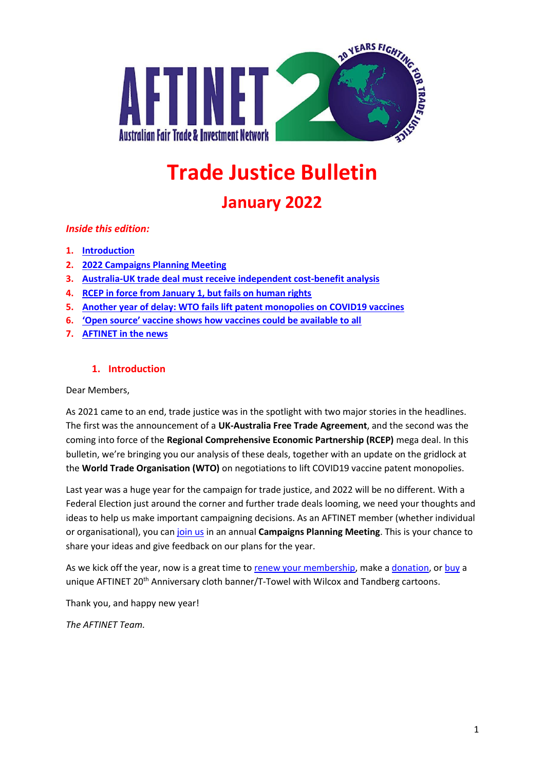

# **Trade Justice Bulletin**

# **January 2022**

# *Inside this edition:*

- **1. [Introduction](#page-0-0)**
- **2. [2022 Campaigns Planning Meeting](#page-1-0)**
- **3. [Australia-UK trade deal must receive independent cost-benefit analysis](#page-1-1)**
- **4. [RCEP in force from January 1, but fails on human rights](#page-2-0)**
- **5. [Another year of delay: WTO fails lift patent monopolies on COVID19 vaccines](#page-2-1)**
- **6. ['Open source' vaccine shows how vaccines could be available to all](#page-3-0)**
- **7. [AFTINET in the news](#page-4-0)**

## **1. Introduction**

<span id="page-0-0"></span>Dear Members,

As 2021 came to an end, trade justice was in the spotlight with two major stories in the headlines. The first was the announcement of a **UK-Australia Free Trade Agreement**, and the second was the coming into force of the **Regional Comprehensive Economic Partnership (RCEP)** mega deal. In this bulletin, we're bringing you our analysis of these deals, together with an update on the gridlock at the **World Trade Organisation (WTO)** on negotiations to lift COVID19 vaccine patent monopolies.

Last year was a huge year for the campaign for trade justice, and 2022 will be no different. With a Federal Election just around the corner and further trade deals looming, we need your thoughts and ideas to help us make important campaigning decisions. As an AFTINET member (whether individual or organisational), you can [join us](https://us06web.zoom.us/meeting/register/tZwucOGqrTMjH9UReCEtUtq4T7FUy_SZPksJ) in an annual **Campaigns Planning Meeting**. This is your chance to share your ideas and give feedback on our plans for the year.

As we kick off the year, now is a great time t[o renew your membership,](http://aftinet.org.au/cms/aftinet-membership) make a [donation,](http://aftinet.org.au/cms/donate) or [buy](http://aftinet.org.au/cms/node/1889) a unique AFTINET 20<sup>th</sup> Anniversary cloth banner/T-Towel with Wilcox and Tandberg cartoons.

Thank you, and happy new year!

*The AFTINET Team.*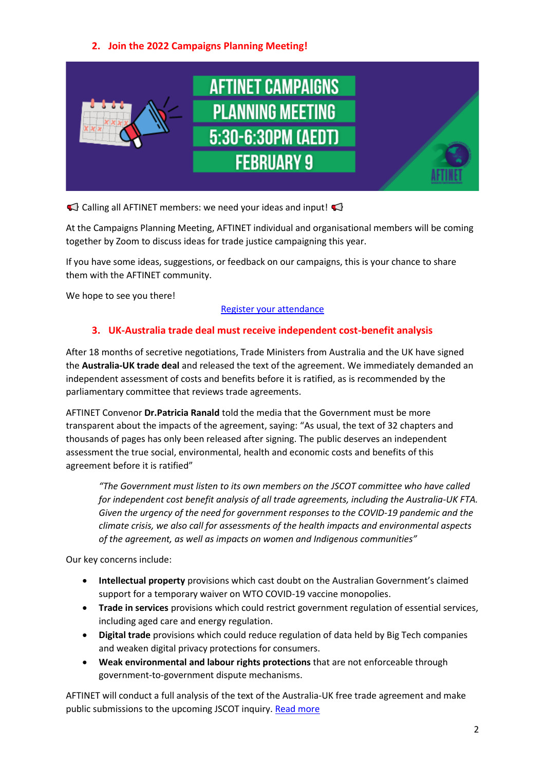# **2. Join the 2022 Campaigns Planning Meeting!**

<span id="page-1-0"></span>

 $\triangle$  Calling all AFTINET members: we need your ideas and input!

At the Campaigns Planning Meeting, AFTINET individual and organisational members will be coming together by Zoom to discuss ideas for trade justice campaigning this year.

If you have some ideas, suggestions, or feedback on our campaigns, this is your chance to share them with the AFTINET community.

We hope to see you there!

#### [Register your attendance](https://us06web.zoom.us/meeting/register/tZwucOGqrTMjH9UReCEtUtq4T7FUy_SZPksJ)

# **3. UK-Australia trade deal must receive independent cost-benefit analysis**

<span id="page-1-1"></span>After 18 months of secretive negotiations, Trade Ministers from Australia and the UK have signed the **Australia-UK trade deal** and released the text of the agreement. We immediately demanded an independent assessment of costs and benefits before it is ratified, as is recommended by the parliamentary committee that reviews trade agreements.

AFTINET Convenor **Dr.Patricia Ranald** told the media that the Government must be more transparent about the impacts of the agreement, saying: "As usual, the text of 32 chapters and thousands of pages has only been released after signing. The public deserves an independent assessment the true social, environmental, health and economic costs and benefits of this agreement before it is ratified"

*"The Government must listen to its own members on the JSCOT committee who have called for independent cost benefit analysis of all trade agreements, including the Australia-UK FTA. Given the urgency of the need for government responses to the COVID-19 pandemic and the climate crisis, we also call for assessments of the health impacts and environmental aspects of the agreement, as well as impacts on women and Indigenous communities"*

Our key concerns include:

- **Intellectual property** provisions which cast doubt on the Australian Government's claimed support for a temporary waiver on WTO COVID-19 vaccine monopolies.
- **Trade in services** provisions which could restrict government regulation of essential services, including aged care and energy regulation.
- **Digital trade** provisions which could reduce regulation of data held by Big Tech companies and weaken digital privacy protections for consumers.
- **Weak environmental and labour rights protections** that are not enforceable through government-to-government dispute mechanisms.

AFTINET will conduct a full analysis of the text of the Australia-UK free trade agreement and make public submissions to the upcoming JSCOT inquiry. [Read more](http://aftinet.org.au/cms/advocates-warn-of-hidden-traps-in-australia-uk-free-trade-deal)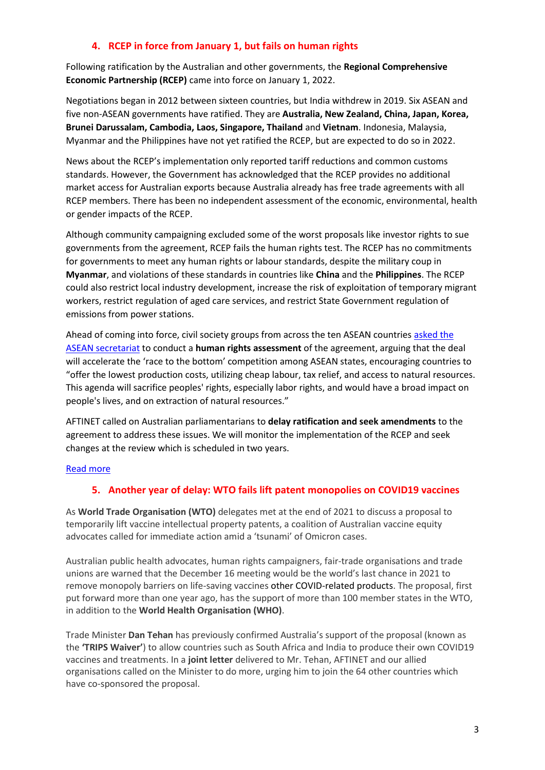## **4. RCEP in force from January 1, but fails on human rights**

<span id="page-2-0"></span>Following ratification by the Australian and other governments, the **Regional Comprehensive Economic Partnership (RCEP)** came into force on January 1, 2022.

Negotiations began in 2012 between sixteen countries, but India withdrew in 2019. Six ASEAN and five non-ASEAN governments have ratified. They are **Australia, New Zealand, China, Japan, Korea, Brunei Darussalam, Cambodia, Laos, Singapore, Thailand** and **Vietnam**. Indonesia, Malaysia, Myanmar and the Philippines have not yet ratified the RCEP, but are expected to do so in 2022.

News about the RCEP's implementation only reported tariff reductions and common customs standards. However, the Government has acknowledged that the RCEP provides no additional market access for Australian exports because Australia already has free trade agreements with all RCEP members. There has been no independent assessment of the economic, environmental, health or gender impacts of the RCEP.

Although community campaigning excluded some of the worst proposals like investor rights to sue governments from the agreement, RCEP fails the human rights test. The RCEP has no commitments for governments to meet any human rights or labour standards, despite the military coup in **Myanmar**, and violations of these standards in countries like **China** and the **Philippines**. The RCEP could also restrict local industry development, increase the risk of exploitation of temporary migrant workers, restrict regulation of aged care services, and restrict State Government regulation of emissions from power stations.

Ahead of coming into force, civil society groups from across the ten ASEAN countries [asked the](http://aftinet.org.au/cms/civil-society-groups-ask-asean-for-rcep-human-rights-assessment)  [ASEAN secretariat](http://aftinet.org.au/cms/civil-society-groups-ask-asean-for-rcep-human-rights-assessment) to conduct a **human rights assessment** of the agreement, arguing that the deal will accelerate the 'race to the bottom' competition among ASEAN states, encouraging countries to "offer the lowest production costs, utilizing cheap labour, tax relief, and access to natural resources. This agenda will sacrifice peoples' rights, especially labor rights, and would have a broad impact on people's lives, and on extraction of natural resources."

AFTINET called on Australian parliamentarians to **delay ratification and seek amendments** to the agreement to address these issues. We will monitor the implementation of the RCEP and seek changes at the review which is scheduled in two years.

#### <span id="page-2-1"></span>[Read more](http://aftinet.org.au/cms/RCEP-in-force-from-January-1-but-fails-on-human-rights)

#### **5. Another year of delay: WTO fails lift patent monopolies on COVID19 vaccines**

As **World Trade Organisation (WTO)** delegates met at the end of 2021 to discuss a proposal to temporarily lift vaccine intellectual property patents, a coalition of Australian vaccine equity advocates called for immediate action amid a 'tsunami' of Omicron cases.

Australian public health advocates, human rights campaigners, fair-trade organisations and trade unions are warned that the December 16 meeting would be the world's last chance in 2021 to remove monopoly barriers on life-saving vaccines other COVID-related products. The proposal, first put forward more than one year ago, has the support of more than 100 member states in the WTO, in addition to the **World Health Organisation (WHO)**.

Trade Minister **Dan Tehan** has previously confirmed Australia's support of the proposal (known as the **'TRIPS Waiver'**) to allow countries such as South Africa and India to produce their own COVID19 vaccines and treatments. In a **joint letter** delivered to Mr. Tehan, AFTINET and our allied organisations called on the Minister to do more, urging him to join the 64 other countries which have co-sponsored the proposal.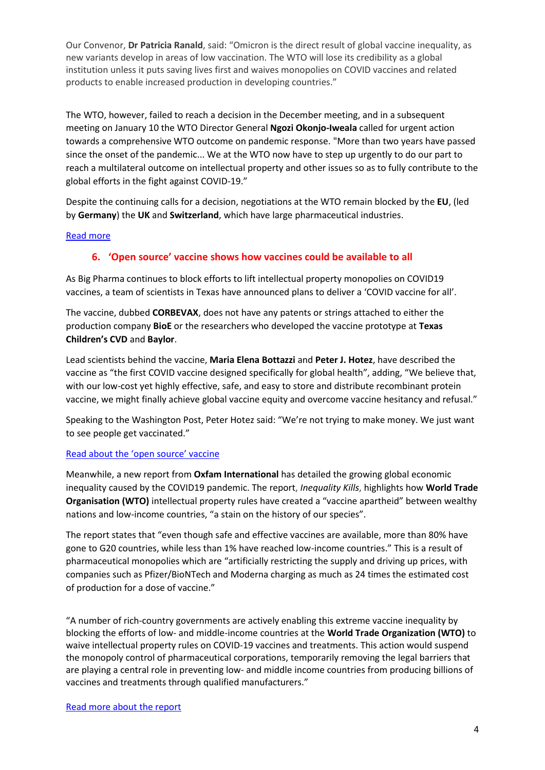Our Convenor, **Dr Patricia Ranald**, said: "Omicron is the direct result of global vaccine inequality, as new variants develop in areas of low vaccination. The WTO will lose its credibility as a global institution unless it puts saving lives first and waives monopolies on COVID vaccines and related products to enable increased production in developing countries."

The WTO, however, failed to reach a decision in the December meeting, and in a subsequent meeting on January 10 the WTO Director General **Ngozi Okonjo-Iweala** called for urgent action towards a comprehensive WTO outcome on pandemic response. "More than two years have passed since the onset of the pandemic... We at the WTO now have to step up urgently to do our part to reach a multilateral outcome on intellectual property and other issues so as to fully contribute to the global efforts in the fight against COVID-19."

Despite the continuing calls for a decision, negotiations at the WTO remain blocked by the **EU**, (led by **Germany**) the **UK** and **Switzerland**, which have large pharmaceutical industries.

#### <span id="page-3-0"></span>[Read more](http://aftinet.org.au/cms/node/2102)

#### **6. 'Open source' vaccine shows how vaccines could be available to all**

As Big Pharma continues to block efforts to lift intellectual property monopolies on COVID19 vaccines, a team of scientists in Texas have announced plans to deliver a 'COVID vaccine for all'.

The vaccine, dubbed **CORBEVAX**, does not have any patents or strings attached to either the production company **BioE** or the researchers who developed the vaccine prototype at **Texas Children's CVD** and **Baylor**.

Lead scientists behind the vaccine, **Maria Elena Bottazzi** and **Peter J. Hotez**, have described the vaccine as "the first COVID vaccine designed specifically for global health", adding, "We believe that, with our low-cost yet highly effective, safe, and easy to store and distribute recombinant protein vaccine, we might finally achieve global vaccine equity and overcome vaccine hesitancy and refusal."

Speaking to the Washington Post, Peter Hotez said: "We're not trying to make money. We just want to see people get vaccinated."

#### [Read about the 'open source' vaccine](http://aftinet.org.au/cms/Open-source-vaccine-shows-how-vaccines-could-be-available-to-all)

Meanwhile, a new report from **Oxfam International** has detailed the growing global economic inequality caused by the COVID19 pandemic. The report, *Inequality Kills*, highlights how **World Trade Organisation (WTO)** intellectual property rules have created a "vaccine apartheid" between wealthy nations and low-income countries, "a stain on the history of our species".

The report states that "even though safe and effective vaccines are available, more than 80% have gone to G20 countries, while less than 1% have reached low-income countries." This is a result of pharmaceutical monopolies which are "artificially restricting the supply and driving up prices, with companies such as Pfizer/BioNTech and Moderna charging as much as 24 times the estimated cost of production for a dose of vaccine."

"A number of rich-country governments are actively enabling this extreme vaccine inequality by blocking the efforts of low- and middle-income countries at the **World Trade Organization (WTO)** to waive intellectual property rules on COVID-19 vaccines and treatments. This action would suspend the monopoly control of pharmaceutical corporations, temporarily removing the legal barriers that are playing a central role in preventing low- and middle income countries from producing billions of vaccines and treatments through qualified manufacturers."